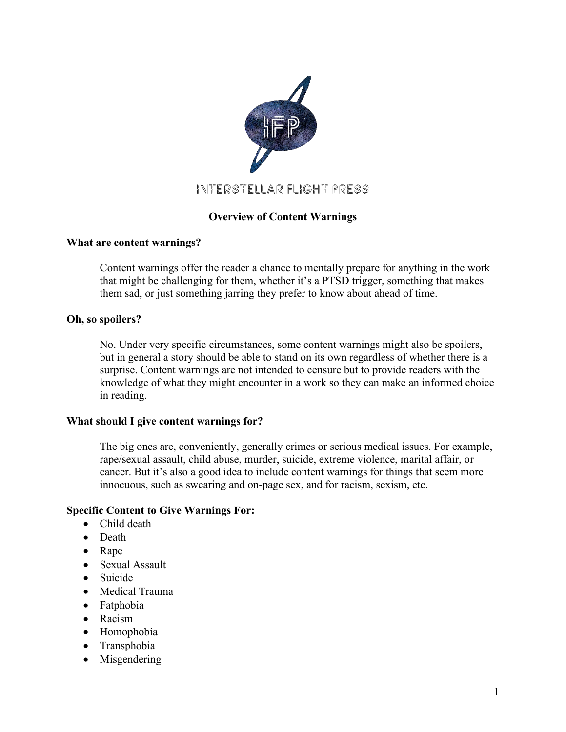

# Interstellar Flight Press

# **Overview of Content Warnings**

## **What are content warnings?**

Content warnings offer the reader a chance to mentally prepare for anything in the work that might be challenging for them, whether it's a PTSD trigger, something that makes them sad, or just something jarring they prefer to know about ahead of time.

## **Oh, so spoilers?**

No. Under very specific circumstances, some content warnings might also be spoilers, but in general a story should be able to stand on its own regardless of whether there is a surprise. Content warnings are not intended to censure but to provide readers with the knowledge of what they might encounter in a work so they can make an informed choice in reading.

## **What should I give content warnings for?**

The big ones are, conveniently, generally crimes or serious medical issues. For example, rape/sexual assault, child abuse, murder, suicide, extreme violence, marital affair, or cancer. But it's also a good idea to include content warnings for things that seem more innocuous, such as swearing and on-page sex, and for racism, sexism, etc.

## **Specific Content to Give Warnings For:**

- Child death
- Death
- Rape
- Sexual Assault
- Suicide
- Medical Trauma
- Fatphobia
- Racism
- Homophobia
- Transphobia
- Misgendering